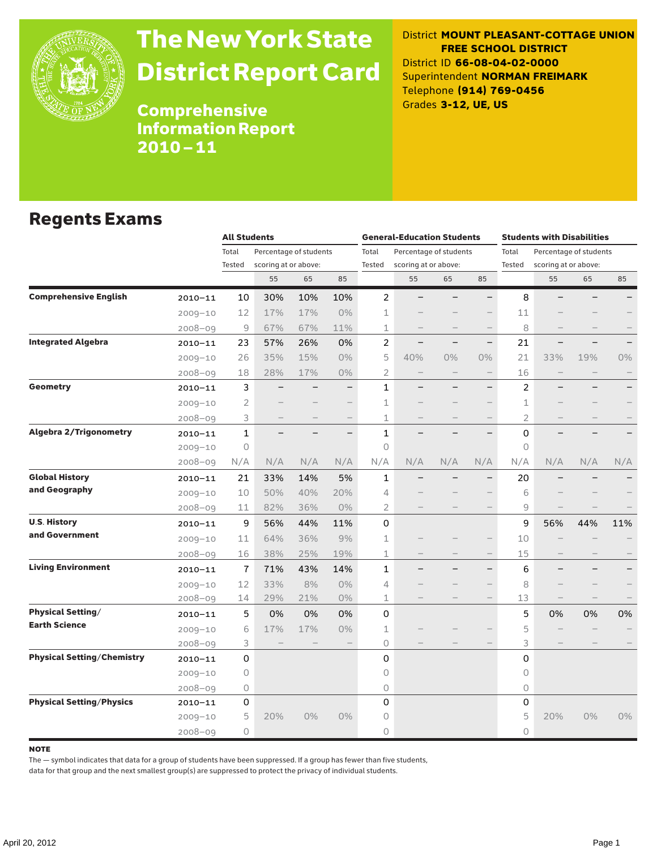

# The New York State District Report Card

District **MOUNT PLEASANT-COTTAGE UNION FREE SCHOOL DISTRICT** District ID **66-08-04-02-0000** Superintendent **NORMAN FREIMARK** Telephone **(914) 769-0456** Grades **3-12, UE, US**

Comprehensive Information Report 2010–11

### Regents Exams

|                                   |             |                 | <b>All Students</b>                            |                   |                          |                 | <b>General-Education Students</b>              |                          |                          |                                                                   | <b>Students with Disabilities</b> |       |     |  |
|-----------------------------------|-------------|-----------------|------------------------------------------------|-------------------|--------------------------|-----------------|------------------------------------------------|--------------------------|--------------------------|-------------------------------------------------------------------|-----------------------------------|-------|-----|--|
|                                   |             | Total<br>Tested | Percentage of students<br>scoring at or above: |                   |                          | Total<br>Tested | Percentage of students<br>scoring at or above: |                          |                          | Total<br>Percentage of students<br>Tested<br>scoring at or above: |                                   |       |     |  |
|                                   |             |                 | 55                                             | 65                | 85                       |                 | 55                                             | 65                       | 85                       |                                                                   | 55                                | 65    | 85  |  |
| <b>Comprehensive English</b>      | $2010 - 11$ | 10              | 30%                                            | 10%               | 10%                      | $\overline{2}$  |                                                |                          |                          | 8                                                                 |                                   |       |     |  |
|                                   | $2009 - 10$ | 12              | 17%                                            | 17%               | 0%                       | 1               |                                                |                          |                          | 11                                                                |                                   |       |     |  |
|                                   | $2008 - 09$ | 9               | 67%                                            | 67%               | 11%                      | 1               |                                                |                          |                          | 8                                                                 |                                   |       |     |  |
| <b>Integrated Algebra</b>         | $2010 - 11$ | 23              | 57%                                            | 26%               | 0%                       | $\overline{c}$  | -                                              | —                        | $\overline{\phantom{0}}$ | 21                                                                |                                   |       |     |  |
|                                   | $2009 - 10$ | 26              | 35%                                            | 15%               | 0%                       | 5               | 40%                                            | 0%                       | $0\%$                    | 21                                                                | 33%                               | 19%   | 0%  |  |
|                                   | $2008 - 09$ | 18              | 28%                                            | 17%               | $0\%$                    | 2               | $\overline{\phantom{0}}$                       |                          |                          | 16                                                                |                                   |       |     |  |
| <b>Geometry</b>                   | 2010-11     | 3               |                                                |                   | $\overline{\phantom{0}}$ | $\mathbf{1}$    |                                                | $\overline{\phantom{0}}$ | $\overline{\phantom{0}}$ | $\overline{c}$                                                    |                                   |       |     |  |
|                                   | $2009 - 10$ | $\mathbf{2}$    |                                                |                   |                          | 1               |                                                |                          |                          | 1                                                                 |                                   |       |     |  |
|                                   | $2008 - 09$ | 3               | $\qquad \qquad -$                              | $\qquad \qquad -$ | $\overline{\phantom{0}}$ | 1               | -                                              |                          | $\qquad \qquad -$        | $\overline{2}$                                                    |                                   |       |     |  |
| <b>Algebra 2/Trigonometry</b>     | $2010 - 11$ | $\mathbf{1}$    |                                                |                   |                          | $\mathbf{1}$    |                                                |                          |                          | 0                                                                 |                                   |       |     |  |
|                                   | $2009 - 10$ | 0               |                                                |                   |                          | $\Omega$        |                                                |                          |                          | $\circ$                                                           |                                   |       |     |  |
|                                   | 2008-09     | N/A             | N/A                                            | N/A               | N/A                      | N/A             | N/A                                            | N/A                      | N/A                      | N/A                                                               | N/A                               | N/A   | N/A |  |
| <b>Global History</b>             | $2010 - 11$ | 21              | 33%                                            | 14%               | 5%                       | 1               |                                                |                          |                          | 20                                                                |                                   |       |     |  |
| and Geography                     | $2009 - 10$ | 10              | 50%                                            | 40%               | 20%                      | 4               |                                                |                          |                          | 6                                                                 |                                   |       |     |  |
|                                   | $2008 - 09$ | 11              | 82%                                            | 36%               | $0\%$                    | 2               |                                                |                          |                          | 9                                                                 |                                   |       |     |  |
| <b>U.S. History</b>               | $2010 - 11$ | 9               | 56%                                            | 44%               | 11%                      | 0               |                                                |                          |                          | 9                                                                 | 56%                               | 44%   | 11% |  |
| and Government                    | $2009 - 10$ | 11              | 64%                                            | 36%               | 9%                       | 1               |                                                |                          |                          | 10                                                                |                                   |       |     |  |
|                                   | $2008 - 09$ | 16              | 38%                                            | 25%               | 19%                      | 1               |                                                |                          | $\qquad \qquad -$        | 15                                                                |                                   |       |     |  |
| <b>Living Environment</b>         | $2010 - 11$ | $\overline{1}$  | 71%                                            | 43%               | 14%                      | $\mathbf{1}$    |                                                |                          |                          | 6                                                                 |                                   |       |     |  |
|                                   | $2009 - 10$ | 12              | 33%                                            | 8%                | $0\%$                    | 4               |                                                |                          |                          | 8                                                                 |                                   |       |     |  |
|                                   | 2008-09     | 14              | 29%                                            | 21%               | $0\%$                    | 1               |                                                |                          |                          | 13                                                                |                                   |       |     |  |
| <b>Physical Setting/</b>          | $2010 - 11$ | 5               | 0%                                             | 0%                | 0%                       | 0               |                                                |                          |                          | 5                                                                 | 0%                                | 0%    | 0%  |  |
| <b>Earth Science</b>              | $2009 - 10$ | 6               | 17%                                            | 17%               | 0%                       | 1               |                                                |                          |                          | 5                                                                 |                                   |       |     |  |
|                                   | $2008 - 09$ | 3               |                                                |                   | $\qquad \qquad -$        | 0               |                                                |                          |                          | 3                                                                 |                                   |       |     |  |
| <b>Physical Setting/Chemistry</b> | $2010 - 11$ | 0               |                                                |                   |                          | 0               |                                                |                          |                          | 0                                                                 |                                   |       |     |  |
|                                   | $2009 - 10$ | 0               |                                                |                   |                          | 0               |                                                |                          |                          | 0                                                                 |                                   |       |     |  |
|                                   | $2008 - 09$ | 0               |                                                |                   |                          | 0               |                                                |                          |                          | 0                                                                 |                                   |       |     |  |
| <b>Physical Setting/Physics</b>   | 2010-11     | 0               |                                                |                   |                          | 0               |                                                |                          |                          | 0                                                                 |                                   |       |     |  |
|                                   | $2009 - 10$ | 5               | 20%                                            | $0\%$             | 0%                       | 0               |                                                |                          |                          | 5                                                                 | 20%                               | $0\%$ | 0%  |  |
|                                   | $2008 - 09$ | 0               |                                                |                   |                          | 0               |                                                |                          |                          | 0                                                                 |                                   |       |     |  |

#### note

The — symbol indicates that data for a group of students have been suppressed. If a group has fewer than five students,

data for that group and the next smallest group(s) are suppressed to protect the privacy of individual students.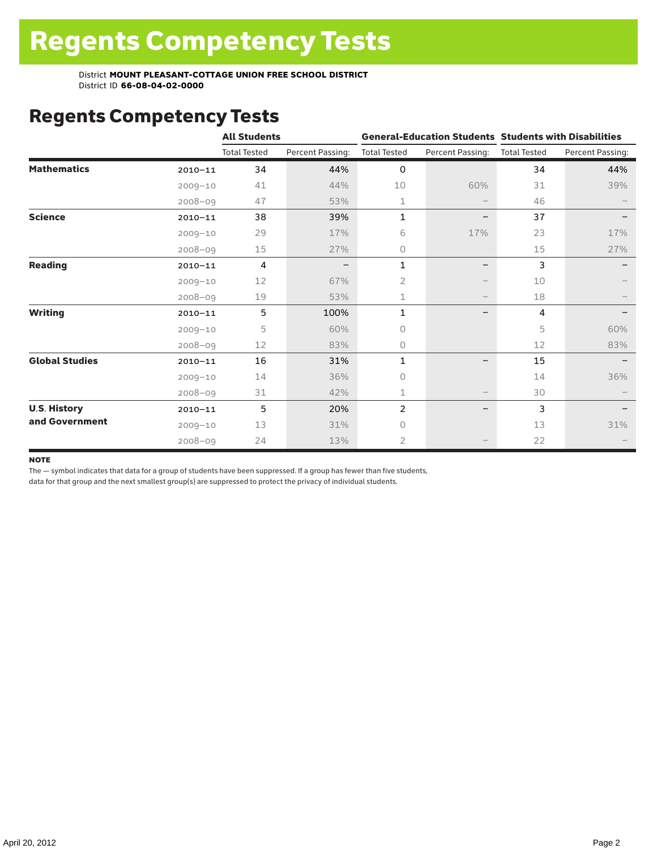# Regents Competency Tests

|                       |             | <b>All Students</b> |                  |                     |                          | <b>General-Education Students Students with Disabilities</b> |                  |  |  |
|-----------------------|-------------|---------------------|------------------|---------------------|--------------------------|--------------------------------------------------------------|------------------|--|--|
|                       |             | <b>Total Tested</b> | Percent Passing: | <b>Total Tested</b> | Percent Passing:         | <b>Total Tested</b>                                          | Percent Passing: |  |  |
| <b>Mathematics</b>    | $2010 - 11$ | 34                  | 44%              | 0                   |                          | 34                                                           | 44%              |  |  |
|                       | $2009 - 10$ | 41                  | 44%              | 10                  | 60%                      | 31                                                           | 39%              |  |  |
|                       | $2008 - 09$ | 47                  | 53%              | 1                   |                          | 46                                                           |                  |  |  |
| <b>Science</b>        | $2010 - 11$ | 38                  | 39%              | $\mathbf{1}$        | —                        | 37                                                           |                  |  |  |
|                       | $2009 - 10$ | 29                  | 17%              | 6                   | 17%                      | 23                                                           | 17%              |  |  |
|                       | $2008 - 09$ | $15\,$              | 27%              | 0                   |                          | 15                                                           | 27%              |  |  |
| <b>Reading</b>        | $2010 - 11$ | 4                   |                  | 1                   | -                        | 3                                                            |                  |  |  |
|                       | $2009 - 10$ | 12                  | 67%              | $\overline{2}$      |                          | 10                                                           |                  |  |  |
|                       | $2008 - 09$ | 19                  | 53%              | 1                   | $\qquad \qquad -$        | 18                                                           |                  |  |  |
| <b>Writing</b>        | $2010 - 11$ | 5                   | 100%             | 1                   | $\overline{\phantom{0}}$ | 4                                                            |                  |  |  |
|                       | $2009 - 10$ | 5                   | 60%              | 0                   |                          | 5                                                            | 60%              |  |  |
|                       | $2008 - 09$ | 12                  | 83%              | 0                   |                          | 12                                                           | 83%              |  |  |
| <b>Global Studies</b> | $2010 - 11$ | 16                  | 31%              | 1                   |                          | 15                                                           |                  |  |  |
|                       | $2009 - 10$ | 14                  | 36%              | 0                   |                          | 14                                                           | 36%              |  |  |
|                       | $2008 - 09$ | 31                  | 42%              | 1                   |                          | 30                                                           |                  |  |  |
| <b>U.S. History</b>   | $2010 - 11$ | 5                   | 20%              | $\overline{c}$      |                          | 3                                                            |                  |  |  |
| and Government        | $2009 - 10$ | 13                  | 31%              | $\bigcap$           |                          | 13                                                           | 31%              |  |  |
|                       | $2008 - 09$ | 24                  | 13%              | 2                   |                          | 22                                                           |                  |  |  |

#### **NOTE**

The — symbol indicates that data for a group of students have been suppressed. If a group has fewer than five students,

data for that group and the next smallest group(s) are suppressed to protect the privacy of individual students.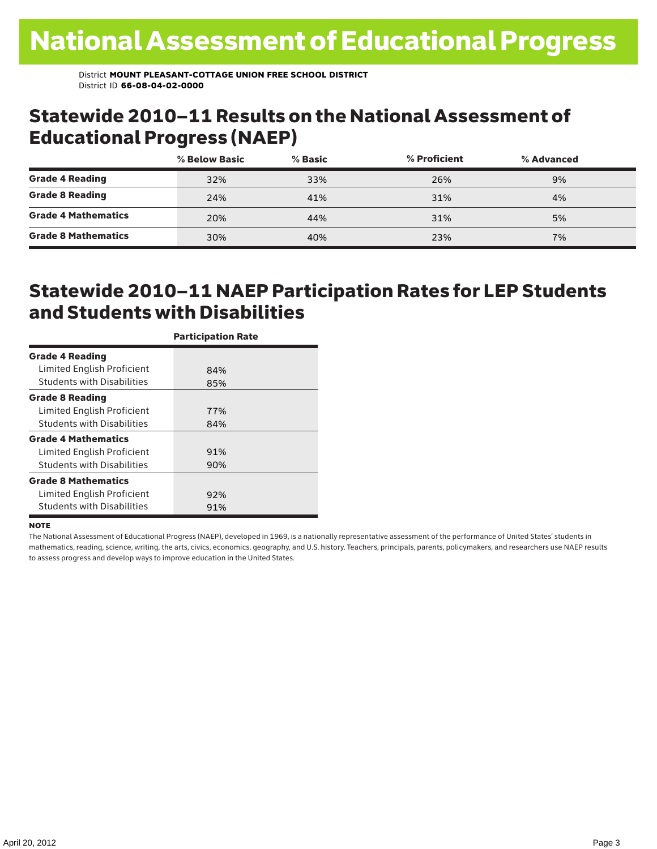### Statewide 2010–11 Results on the National Assessment of Educational Progress (NAEP)

|                            | % Below Basic | $%$ Basic | % Proficient | % Advanced |  |
|----------------------------|---------------|-----------|--------------|------------|--|
| <b>Grade 4 Reading</b>     | 32%           | 33%       | 26%          | 9%         |  |
| <b>Grade 8 Reading</b>     | 24%           | 41%       | 31%          | 4%         |  |
| <b>Grade 4 Mathematics</b> | 20%           | 44%       | 31%          | 5%         |  |
| <b>Grade 8 Mathematics</b> | 30%           | 40%       | 23%          | 7%         |  |

## Statewide 2010–11 NAEP Participation Rates for LEP Students and Students with Disabilities

|                                   | <b>Participation Rate</b> |
|-----------------------------------|---------------------------|
| <b>Grade 4 Reading</b>            |                           |
| Limited English Proficient        | 84%                       |
| <b>Students with Disabilities</b> | 85%                       |
| <b>Grade 8 Reading</b>            |                           |
| Limited English Proficient        | 77%                       |
| <b>Students with Disabilities</b> | 84%                       |
| <b>Grade 4 Mathematics</b>        |                           |
| Limited English Proficient        | 91%                       |
| <b>Students with Disabilities</b> | 90%                       |
| <b>Grade 8 Mathematics</b>        |                           |
| Limited English Proficient        | 92%                       |
| <b>Students with Disabilities</b> | 91%                       |

#### **NOTE**

The National Assessment of Educational Progress (NAEP), developed in 1969, is a nationally representative assessment of the performance of United States' students in mathematics, reading, science, writing, the arts, civics, economics, geography, and U.S. history. Teachers, principals, parents, policymakers, and researchers use NAEP results to assess progress and develop ways to improve education in the United States.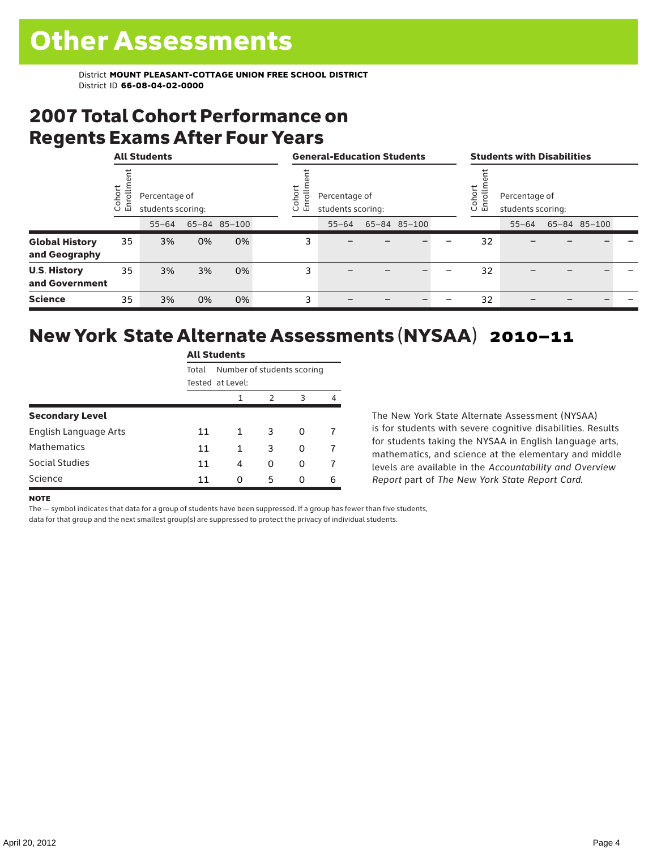## 2007 Total Cohort Performance on Regents Exams After Four Years

|                                        | <b>All Students</b> |           |                                    |              |   | <b>General-Education Students</b>                               |           |  |                                                         |  | <b>Students with Disabilities</b> |           |  |              |  |
|----------------------------------------|---------------------|-----------|------------------------------------|--------------|---|-----------------------------------------------------------------|-----------|--|---------------------------------------------------------|--|-----------------------------------|-----------|--|--------------|--|
|                                        | ohort<br>ō<br>ごこ    |           | Percentage of<br>students scoring: |              |   | ohort<br>힝<br>Percentage of<br>면<br>students scoring:<br>$\cup$ |           |  | Cohort<br>Enrollm<br>Percentage of<br>students scoring: |  |                                   |           |  |              |  |
|                                        |                     | $55 - 64$ |                                    | 65-84 85-100 |   |                                                                 | $55 - 64$ |  | 65-84 85-100                                            |  |                                   | $55 - 64$ |  | 65-84 85-100 |  |
| <b>Global History</b><br>and Geography | 35                  | 3%        | 0%                                 | 0%           |   | 3                                                               |           |  |                                                         |  | 32                                |           |  |              |  |
| <b>U.S. History</b><br>and Government  | 35                  | 3%        | 3%                                 | 0%           | 3 |                                                                 |           |  |                                                         |  | 32                                |           |  |              |  |
| <b>Science</b>                         | 35                  | 3%        | 0%                                 | 0%           | 3 |                                                                 |           |  |                                                         |  | 32                                |           |  |              |  |

#### New York State Alternate Assessments (NYSAA) 2010–11 All Students

|                        | All Students     |                            |   |   |   |  |  |  |  |
|------------------------|------------------|----------------------------|---|---|---|--|--|--|--|
|                        | Total            | Number of students scoring |   |   |   |  |  |  |  |
|                        | Tested at Level: |                            |   |   |   |  |  |  |  |
|                        |                  | $\mathbf{1}$               | 2 | 3 | 4 |  |  |  |  |
| <b>Secondary Level</b> |                  |                            |   |   |   |  |  |  |  |
| English Language Arts  | 11               | 1                          | 3 | 0 |   |  |  |  |  |
| <b>Mathematics</b>     | 11               | 1                          | 3 | 0 |   |  |  |  |  |
| Social Studies         | 11               | 4                          | 0 | O |   |  |  |  |  |
| Science                | 11               | O                          | 5 | O | 6 |  |  |  |  |

The New York State Alternate Assessment (NYSAA) is for students with severe cognitive disabilities. Results for students taking the NYSAA in English language arts, mathematics, and science at the elementary and middle levels are available in the *Accountability and Overview Report* part of *The New York State Report Card*.

#### **NOTE**

The — symbol indicates that data for a group of students have been suppressed. If a group has fewer than five students,

data for that group and the next smallest group(s) are suppressed to protect the privacy of individual students.